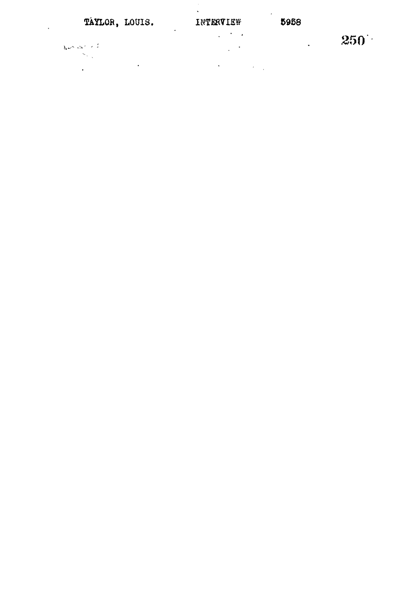$\frac{1}{2} \frac{1}{2} \sum_{i=1}^{n} \frac{1}{2} \sum_{j=1}^{n} \frac{1}{2} \sum_{j=1}^{n} \frac{1}{2} \sum_{j=1}^{n} \frac{1}{2} \sum_{j=1}^{n} \frac{1}{2} \sum_{j=1}^{n} \frac{1}{2} \sum_{j=1}^{n} \frac{1}{2} \sum_{j=1}^{n} \frac{1}{2} \sum_{j=1}^{n} \frac{1}{2} \sum_{j=1}^{n} \frac{1}{2} \sum_{j=1}^{n} \frac{1}{2} \sum_{j=1}^{n} \frac{1}{2} \sum$  $\mathcal{L}^{\text{max}}_{\text{max}}$  $\frac{1}{2} \sum_{i=1}^{n} \frac{1}{2} \sum_{j=1}^{n} \frac{1}{2} \sum_{j=1}^{n} \frac{1}{2} \sum_{j=1}^{n} \frac{1}{2} \sum_{j=1}^{n} \frac{1}{2} \sum_{j=1}^{n} \frac{1}{2} \sum_{j=1}^{n} \frac{1}{2} \sum_{j=1}^{n} \frac{1}{2} \sum_{j=1}^{n} \frac{1}{2} \sum_{j=1}^{n} \frac{1}{2} \sum_{j=1}^{n} \frac{1}{2} \sum_{j=1}^{n} \frac{1}{2} \sum_{j=1}^{n$ 

 $\frac{1}{2} \sum_{i=1}^n \frac{1}{2} \sum_{j=1}^n \frac{1}{2} \sum_{j=1}^n \frac{1}{2} \sum_{j=1}^n \frac{1}{2} \sum_{j=1}^n \frac{1}{2} \sum_{j=1}^n \frac{1}{2} \sum_{j=1}^n \frac{1}{2} \sum_{j=1}^n \frac{1}{2} \sum_{j=1}^n \frac{1}{2} \sum_{j=1}^n \frac{1}{2} \sum_{j=1}^n \frac{1}{2} \sum_{j=1}^n \frac{1}{2} \sum_{j=1}^n \frac{1}{2} \sum_{j=$ 

 $\mathcal{S}^{\text{max}}_{\text{max}}$  and  $\mathcal{S}^{\text{max}}_{\text{max}}$ 

 $\label{eq:2.1} \frac{1}{\sqrt{2\pi}}\int_{\mathbb{R}^3} \frac{1}{\sqrt{2\pi}}\left(\frac{1}{\sqrt{2\pi}}\right)^2 \frac{1}{\sqrt{2\pi}}\int_{\mathbb{R}^3} \frac{1}{\sqrt{2\pi}}\left(\frac{1}{\sqrt{2\pi}}\right)^2 \frac{1}{\sqrt{2\pi}}\int_{\mathbb{R}^3} \frac{1}{\sqrt{2\pi}}\frac{1}{\sqrt{2\pi}}\frac{1}{\sqrt{2\pi}}\frac{1}{\sqrt{2\pi}}\frac{1}{\sqrt{2\pi}}\frac{1}{\sqrt{2\pi}}\frac{1}{\sqrt$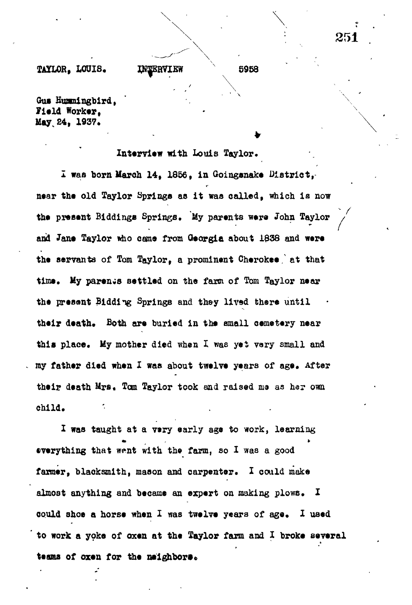# **TAILOR, LOUIS. INTERVIEW**

Gus Hummingbird. **Field Worker,** May 24, 1937.

## **Interview with Louis Taylor.**

**<sup>v</sup> 5958**

**¥**

**X was born March 14, 1856, in Goinganake District, near the old Taylor Springs as it was called, which is now the present Biddings Springs. My parents were John Taylor / and Jane Taylor mho came from Georgia about 1838 and were the servants of Tom Taylor, a prominent Cherokee/ at that time. My parents Bettled on the farm of Tom Taylor near the present Bidding Springs and they lived there until** their death. Both are buried in the small cemetery near **this place. My mother died when I was yet vary small and my father died when X was about twelve years of age\* After their death Mrs. Tom Taylor took and raised ma as he? own child.**

**I was taught at a very early age to work, learning everything that went with the farm, so X was a good farmer, blacksmith, mason and carpenter. X could make almost anything and became an expert on making plows. X could shoe a horse when X was twelve years of age, X used to work a yoke of oxen at the Taylor farm and X broke several** teams of oxen for the neighbors.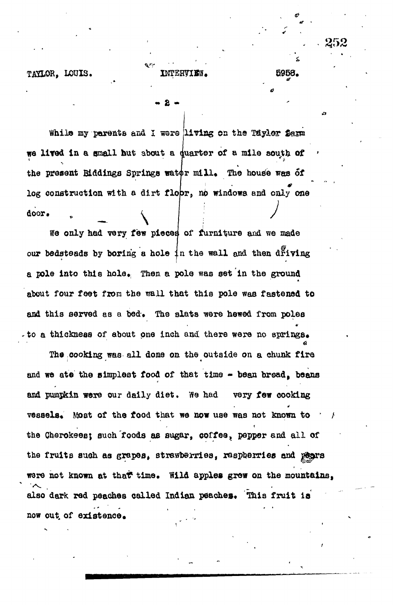INTERVIEW.

5958.

se pr

TAYLOR. LOUIS.

While my parents and I were living on the Taylor farm we lived in a small hut about a quarter of a mile south of the present Biddings Springs water mill. The house was of log construction with a dirt flopr, no windows and only one door.

We only had very few pieces of furniture and we made our bedsteads by boring a hole in the wall and then driving a pole into this hole. Then a pole was set in the ground about four feet from the wall that this pole was fastened to and this served as a bed. The slats were hewed from poles to a thickness of about one inch and there were no springs.

The cooking was all done on the outside on a chunk fire and we ate the simplest food of that time - bean bread, beans and pumpkin were our daily diet. We had very few cooking vessels. Most of the food that we now use was not known to the Cherokees; such foods as sugar, coffee, pepper and all of the fruits such as grapes, strawberries, raspherries and paars were not known at that time. Wild apples grew on the mountains. also dark red peaches called Indian peaches. This fruit is now out of existence.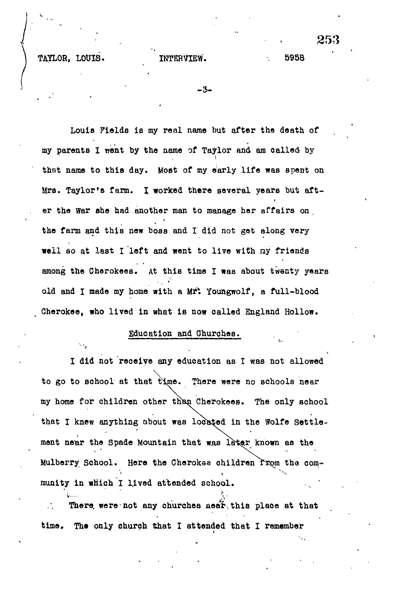TAYLOR, LOUIS. INTERVIEW. 5958

 $-3-$ 

Louis Fields is my real name but after the death of **my parents I went by the name of Taylor and am called- by that name to this day. Most of my early life was spent on** Mrs. Taylor's farm. I worked there several years but aft**er the War she had another man to manage her affairs on the farm and this new boss and I did not. get along very** well so at last I well so at last I went to live with ray friends with ray friends with ray friends with ray friends **among the Cherokees. At this time I was about twenty years old and I made my home with a \kf\ Youngwolf, a full-blood Cherokee, who lived in what is now called England Hollow.**

# **Education and Churches.**

 $\frac{1}{2}$  is the contract of the contract of the contract of the contract of the contract of the contract of the contract of the contract of the contract of the contract of the contract of the contract of the contract of

**I did not receive any education as I was not allowed to go to school at that time. There were no schools near my home for children other tnan Cherokees. The only school** that I knew anything about was located in the Wolfe Settlement near the Spade Mountain that was later known as the Mulberry School. Here the Cherokee children Trom the com $r$  munity in which I lived attended school.

There were not any churches near this place at that **time. The only church that I attended that I remember**

253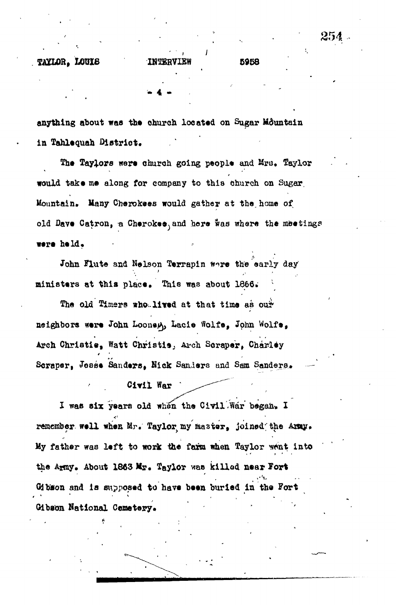**. " , w 4 • .**

**anything about was the church located on Sugar Mountain in Tahlequah Dietriot.**

**The Taylors ware church going people and Mru. Taylor would take me along for company to this church on Sugar.** Mountain. Many Cherokees would gather at the home of old Dave Catron, a Cherokee, and here was where the meetings **were** held.

John Flute and Nelson Terrapin tere the early day ministers at this place. This was about 1866.

The old Timers who.lived at that time as our neighbors were John Looney, Lacie Wolfe, John Wolfe, **Arch Christie, Watt Christie., Ai-ch Scraper, Charley Scrapert Josse Sanders, Hick Sanders and Sam Sanders,**

**• . Civil War •**

I was six years old when the Civil .War began. I remember well when Mr. Taylor my master, joined the Army. My father was left to work the farm when Taylor went into the Army. About 1863 Mr. Taylor was killed near Fort **Gjbaon and is supposed to have been burled in the Fort Oibsoa National Ceaetej»y«**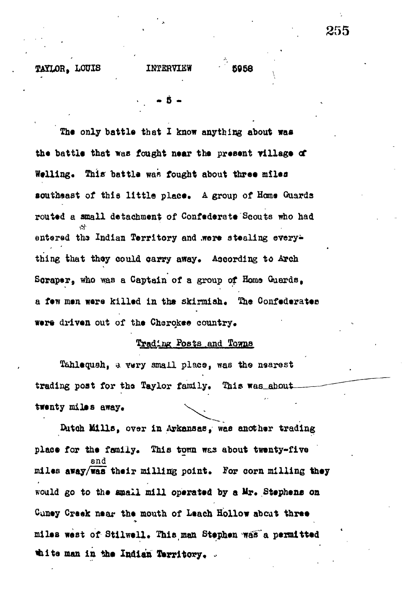**TAXLOB, LOUIS INTERVIEW 5958**

**.. • a -**

The only battle that I know anything about was the battle that was fought near the present village of Welling. This battle was fought about three miles

southeast of this little place. A group of Home Guards **routed a small detachment of Confederate Scouts who had** entered the Indian Territory and .were stealing everything that they could carry away. According to Arch Scraper, who was a Captain of a group of Home Guards, a few men were killed in the skirmish. The Confederates **were driven out of the Cherokee country\***

# **Trading Posts.and Towns**

**Tahleqush, a vary small place, was the nsarest** trading post for the Taylor family. This was about  $t$ wenty miles away.

**Outoh Mills, over in Arkansas, was another trading** place for the family. This town was about twenty-five **and** miles away/was their milling point. For corn milling they **would go to the small mill operated by a** *U\*»* **Stephens on** Caney Creek near the mouth of Leach Hollow about three **miles west of Stilwell. This man Stephen was a permitted \*iit a man in the Indian Territory, ,**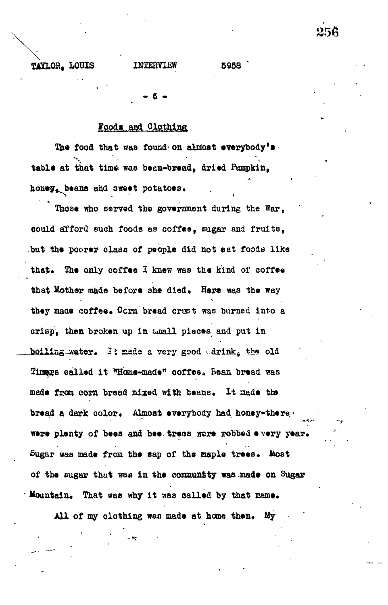TAYLOR. LOUIS

# INTERVIEW

5958

# Foods and Clothing

The food that was found on almost everybody's. table at that time was been-bread, dried Pumpkin, honey, beans and sweet potatoss.

Those who served the government during the War, could afford such foods as coffee, sugar and fruits, but the poorer class of people did not eat foods like that. The only coffee I knew was the kind of coffee that Mother made before she died. Here was the way they made coffee. Corn bread crust was burned into a crisp, then broken up in maall pieces and put in boiling water. It made a very good drink, the old Timags called it "Home-made" coffee, Bean bread was made from corn bread mixed with beans. It made the bread a dark color. Almost everybody had honey-there. were plenty of bees and bee tress ware robbed every year. Sugar was made from the sap of the maple trees. Most of the sugar that was in the community was made on Sugar Mountain. That was why it was called by that name.

All of my clothing was made at home then. My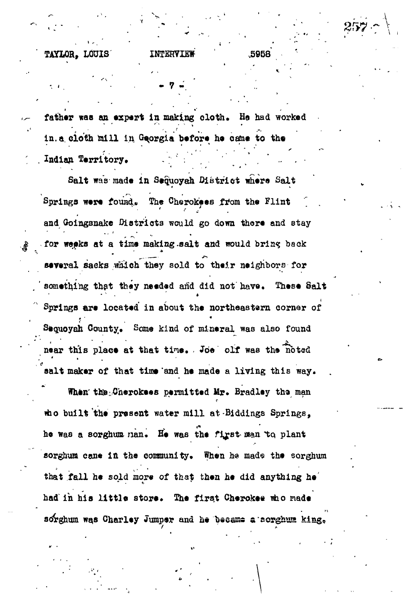TAYLOR. LOUIS

INTERVIEW

5968

father was an expert in making cloth. He had worked in.a cloth mill in Georgia before he came to the Indian Territory.

Salt was made in Sequoyah District where Salt Springs were found. The Cherokees from the Flint and Goingsnake Districts would go down there and stay for weeks at a time making salt and would bring back several sacks which they sold to their neighbors for something that they needed and did not have. These Salt Springs are located in about the northeastern corner of Sequoyah County. Some kind of mineral was also found near this place at that time. Joe olf was the noted salt maker of that time and he made a living this way.

When the Cherokees permitted Mr. Bradley the man tho built the present water mill at Biddings Springs. he was a sorghum man. He was the first man to plant sorghum cane in the community. When he made the sorghum that fall he sold more of that then he did anything he had in his little store. The first Cherokee who made sorghum was Charley Jumper and he became a sorghum king.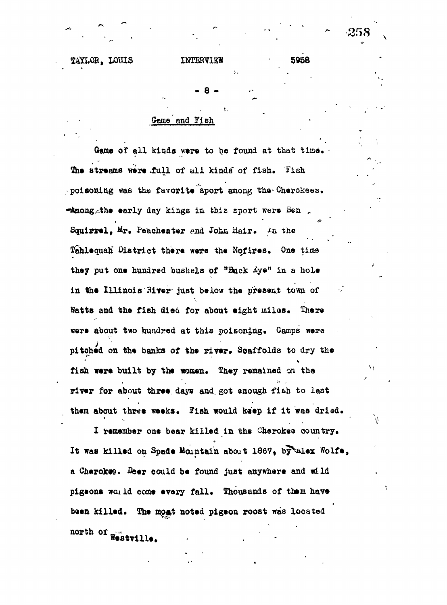• 8 -

'-•

# Oame and Fish

Game of all kinds were to be found at that time. The streams were full of all kinds of fish. Fish poisoning was the favorite aport among the Cherokees. **\*Amongathe early day kings in this sport were Ben** Squirrel, Mr. Peacheater and John Hair. In the Tahlequah<sup>'</sup> District there were the Nofires. One time they put one hundred bushels of "Buck *Eye*" in a hole in the Illinois River just below the present town of Watts and the fish died for about eight miles. There **were about two hundred at this poisoning. Gamps were** pitched on the banks of the river. Scaffolds to dry the fish were built by the women. They remained on the **river for about three days and. got anough fish to last them about three weeks. Fish would keep if it was dried.**

**I remember one bear killed in the Cherokee country.** It was killed on Spade Mountain about 1867, by Alex Wolfe, **a Cherotate. Aeer could be found just anywhere and wild pigeons wcu Id come •vary fall. Thousands of them have** been killed. The most noted pigeon roost was located **north of**  $\frac{1}{2}$ 

**WestvUie.**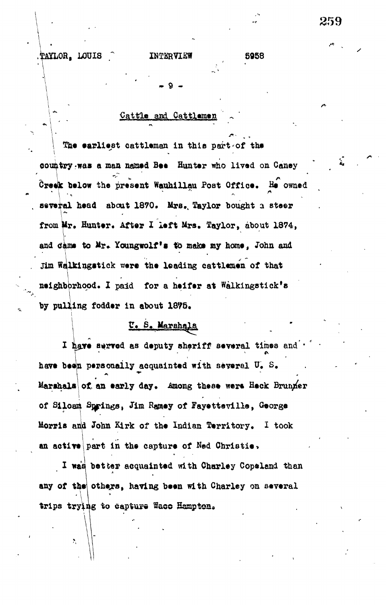# **•Cattle and Cattlemen**

**. 9 -**

**The earliest cattleman in this part-of the country-was a man named Bee Hunter who lived on Caney Creek below the present Wauhillau Post Office, fie owned several head about 1870. Mrs,, Taylor bought a steer** from Mr. Hunter. After I left Mrs. Taylor, about 1874, and dame to Mr. Youngwolf's to make my home, John and Jim Walkingstick were the leading cattlemen of that **neighborhood, I paid for a heifer at Walkingstick's .ing fodder in about 1875. by pullj**

# **E\* S, Marshals.**

I have served as deputy sheriff several times and **have bean personally acquainted with several U, S,** Marshals of an early day. Among these were Heck Brun*ner* of Siloam Springs, Jim Ramey of Fayetteville, George **Morris and John Kirk of the Indian Territory, I took an active part in the capture of Ned Christie •»**

I was better acquainted with Charley Copeland than any of the others, having been with Charley on several **trips trying to capture Wace Hampton.** 

trips trips to cap vox-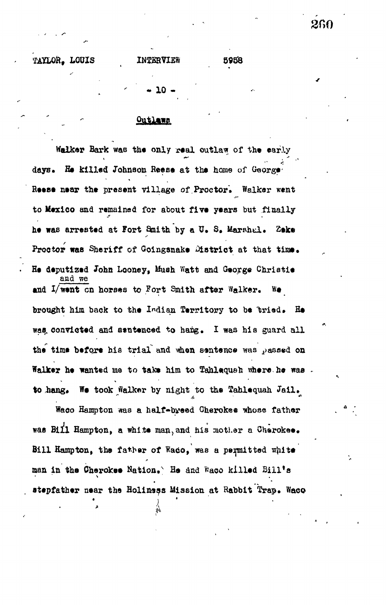TAYLOR. LOUIS

5958

# Outlaws

Walker Bark was the only real outlaw of the early days. He killed Johnson Reese at the home of George Reese near the present village of Proctor. Walker went to Mexico and remained for about five years but finally he was arrested at Fort Smith by a U. S. Marshal. Zeke Proctor was Sheriff of Goingsnake Mstrict at that time. He deputized John Looney, Mush Watt and George Christie and we and I/went on horses to Fort Smith after Walker. We brought him back to the Indian Territory to be tried. He was convicted and sentenced to hang. I was his guard all the time before his trial and when sentence was passed on Walker he wanted me to take him to Tahlequah where he was. to hang. We took Walker by night to the Tahlequah Jail.

Waco Hampton was a half-byeed Cherokee whose father was Bill Hampton, a white man, and his mother a Cherokee. Bill Hampton, the father of Waco, was a permitted white man in the Cherokee Nation. He and Waco killed Bill's stepfather near the Holiness Mission at Rabbit Trap. Waco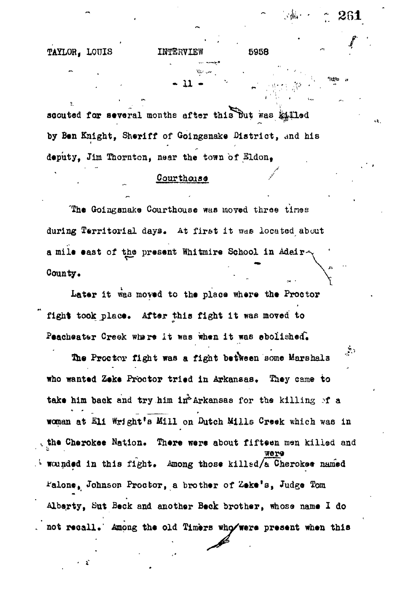**TAYLOR, LOUIS IHTERVIEW 5958**

**\* 11 +**  $\boldsymbol{\cdot}$   $\boldsymbol{\cdot}$   $\boldsymbol{\cdot}$   $\boldsymbol{\cdot}$   $\boldsymbol{\cdot}$   $\boldsymbol{\cdot}$ 

**261**

ίŻ.

 $\sim$ 

 $\mathcal{L}_{\text{max}}$ 

scouted for several months after this But was killed **by Ben Knight, Sheriff of Goingsnake District, and his deputy, Jim Thornton, near the town of Sldon<sup>t</sup>**

# Courthers<sup>o</sup> **Courthouse //www.communications.com/**<br>*Courthouse //www.communications.com*

The Goingsnake Courthouse was moved three times **during Territorial days. At fir&t i t was located about a mile east of tho present Whitmire School in Adair-**County.

**Later it vraa moved to the place where the Proctor** fight took place. After this fight it was moved to Peacheater Creek where it was when it was ebolished.

دبقي The Proctor fight was a fight between some Marshals **who wanted Zeke Proctor tried in Arkansas. They came to** take him back and try him in<sup>2</sup> Arkansas for the killing of a **woman at** *EH* **Wright's Mill on Dutch Mills Creek which was in** the Cherokee Nation. There were about fifteen men killed and **Wounded in this fight.** Among those killed/a Cherokee named **^alone, Johnson Proctor, a brother of Zeke'a, Judge Tom Alberty, But Beck and another Beck brother, whose name I do** not recall. Among the old Timers who/were present when this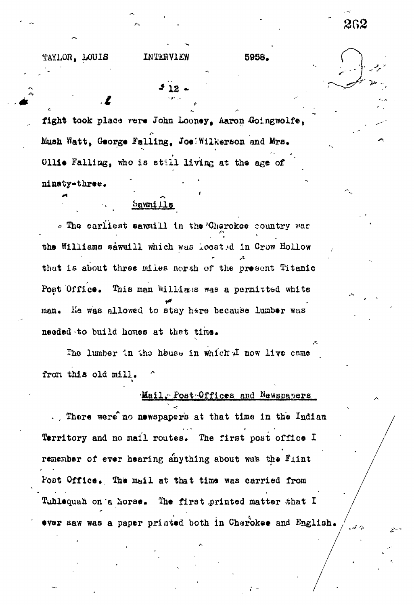TAYLOR, LOUIS INTERVIEW 5958.

 $\mathbf{z}$ 

fight took place vere John Looney, Aaron Goingwolfe, Mush Watt, George Falling, Joe Wilkerson and Mrs. Ollie Falling, who is still living at the age of ninety-three. '

# Sawmills

« The earliest sawmill in the Cherokoe country was the Williams sawmill which was located in Crow Hollow thut is about three miles norsh *of* the present Titanic Post Office. This man Williams was a permitted white man. He was allowed to stay hare because lumber was needed to build homes at that time.

The lumber in the house in which  $\mathcal I$  now live came fron this old mill.

# Mail. Post Offices and Newspapers

.. There were no newspapers at that time in the Indian Territory and no mail routes. The first post office I remember of ever hearing anything about was the Flint Post Office. The mail at that time was carried from Tuhlequah on a horse. The first printed matter that I ever saw was a paper printed both in Cherokee and English.